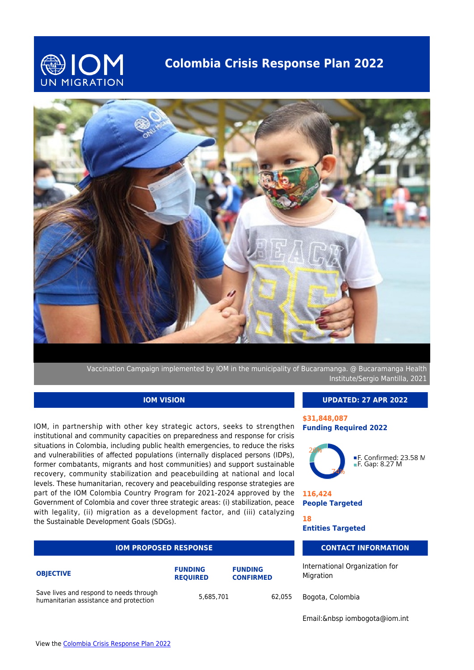

# **Colombia Crisis Response Plan 2022**



Vaccination Campaign implemented by IOM in the municipality of Bucaramanga. @ Bucaramanga Health Institute/Sergio Mantilla, 2021

## **IOM VISION**

IOM, in partnership with other key strategic actors, seeks to strengthen institutional and community capacities on preparedness and response for crisis situations in Colombia, including public health emergencies, to reduce the risks and vulnerabilities of affected populations (internally displaced persons (IDPs), former combatants, migrants and host communities) and support sustainable recovery, community stabilization and peacebuilding at national and local levels. These humanitarian, recovery and peacebuilding response strategies are part of the IOM Colombia Country Program for 2021-2024 approved by the Government of Colombia and cover three strategic areas: (i) stabilization, peace with legality, (ii) migration as a development factor, and (iii) catalyzing the Sustainable Development Goals (SDGs).

| <b>IOM PROPOSED RESPONSE</b>                                                      |                                   | <b>CONTA</b>                       |        |                            |
|-----------------------------------------------------------------------------------|-----------------------------------|------------------------------------|--------|----------------------------|
| <b>OBJECTIVE</b>                                                                  | <b>FUNDING</b><br><b>REOUIRED</b> | <b>FUNDING</b><br><b>CONFIRMED</b> |        | International<br>Migration |
| Save lives and respond to needs through<br>humanitarian assistance and protection | 5,685,701                         |                                    | 62.055 | Bogota, Color              |

#### **UPDATED: 27 APR 2022**

#### **\$31,848,087 Funding Required 2022**



■F. Confirmed: 23.58 M<br>■F. Gap: 8.27 M

**116,424 People Targeted**

**18**

**Entities Targeted**

### **CT INFORMATION**

Organization for

mbia

Email:&nbsp iombogota@iom.int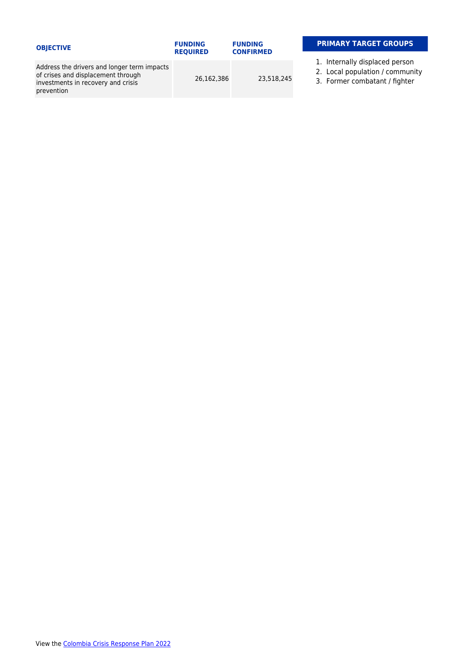| <b>OBJECTIVE</b>                                                                                                                      | <b>FUNDING</b><br><b>REQUIRED</b> | <b>FUNDING</b><br><b>CONFIRMED</b> | <b>PRIMARY TARGET GROUPS</b>                                                                       |
|---------------------------------------------------------------------------------------------------------------------------------------|-----------------------------------|------------------------------------|----------------------------------------------------------------------------------------------------|
| Address the drivers and longer term impacts<br>of crises and displacement through<br>investments in recovery and crisis<br>prevention | 26.162.386                        | 23,518,245                         | 1. Internally displaced person<br>2. Local population / community<br>3. Former combatant / fighter |